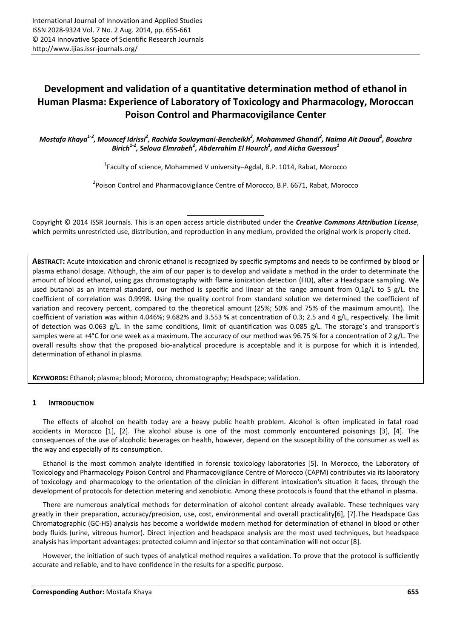# **Development and validation of a quantitative determination method of ethanol in Human Plasma: Experience of Laboratory of Toxicology and Pharmacology, Moroccan Poison Control and Pharmacovigilance Center**

*Mostafa Khaya1-2, Mouncef Idrissi<sup>2</sup> , Rachida Soulaymani-Bencheikh<sup>2</sup> , Mohammed Ghandi<sup>2</sup> , Naima Ait Daoud<sup>2</sup> , Bouchra Birich1-2, Seloua Elmrabeh<sup>2</sup> , Abderrahim El Hourch<sup>1</sup> , and Aicha Guessous<sup>1</sup>*

 $^{1}$ Faculty of science, Mohammed V university–Agdal, B.P. 1014, Rabat, Morocco

<sup>2</sup> Poison Control and Pharmacovigilance Centre of Morocco, B.P. 6671, Rabat, Morocco

Copyright © 2014 ISSR Journals. This is an open access article distributed under the *Creative Commons Attribution License*, which permits unrestricted use, distribution, and reproduction in any medium, provided the original work is properly cited.

**ABSTRACT:** Acute intoxication and chronic ethanol is recognized by specific symptoms and needs to be confirmed by blood or plasma ethanol dosage. Although, the aim of our paper is to develop and validate a method in the order to determinate the amount of blood ethanol, using gas chromatography with flame ionization detection (FID), after a Headspace sampling. We used butanol as an internal standard, our method is specific and linear at the range amount from  $0.1g/L$  to 5 g/L. the coefficient of correlation was 0.9998. Using the quality control from standard solution we determined the coefficient of variation and recovery percent, compared to the theoretical amount (25%; 50% and 75% of the maximum amount). The coefficient of variation was within 4.046%; 9.682% and 3.553 % at concentration of 0.3; 2.5 and 4 g/L, respectively. The limit of detection was 0.063 g/L. In the same conditions, limit of quantification was 0.085 g/L. The storage's and transport's samples were at +4°C for one week as a maximum. The accuracy of our method was 96.75 % for a concentration of 2 g/L. The overall results show that the proposed bio-analytical procedure is acceptable and it is purpose for which it is intended, determination of ethanol in plasma.

**KEYWORDS:** Ethanol; plasma; blood; Morocco, chromatography; Headspace; validation.

# **1 INTRODUCTION**

The effects of alcohol on health today are a heavy public health problem. Alcohol is often implicated in fatal road accidents in Morocco [1], [2]. The alcohol abuse is one of the most commonly encountered poisonings [3], [4]. The consequences of the use of alcoholic beverages on health, however, depend on the susceptibility of the consumer as well as the way and especially of its consumption.

Ethanol is the most common analyte identified in forensic toxicology laboratories [5]. In Morocco, the Laboratory of Toxicology and Pharmacology Poison Control and Pharmacovigilance Centre of Morocco (CAPM) contributes via its laboratory of toxicology and pharmacology to the orientation of the clinician in different intoxication's situation it faces, through the development of protocols for detection metering and xenobiotic. Among these protocols is found that the ethanol in plasma.

There are numerous analytical methods for determination of alcohol content already available. These techniques vary greatly in their preparation, accuracy/precision, use, cost, environmental and overall practicality[6], [7].The Headspace Gas Chromatographic (GC-HS) analysis has become a worldwide modern method for determination of ethanol in blood or other body fluids (urine, vitreous humor). Direct injection and headspace analysis are the most used techniques, but headspace analysis has important advantages: protected column and injector so that contamination will not occur [8].

However, the initiation of such types of analytical method requires a validation. To prove that the protocol is sufficiently accurate and reliable, and to have confidence in the results for a specific purpose.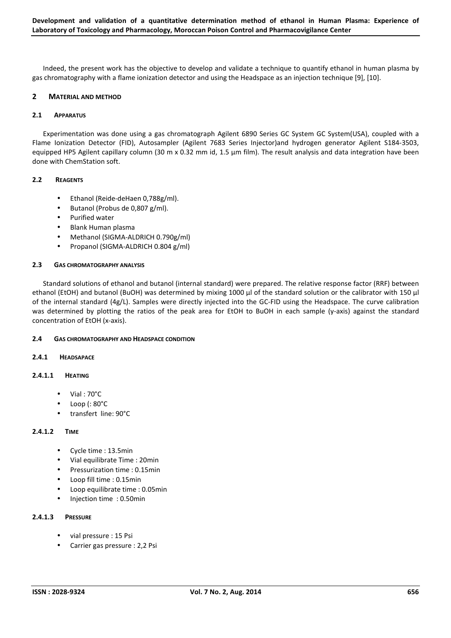Indeed, the present work has the objective to develop and validate a technique to quantify ethanol in human plasma by gas chromatography with a flame ionization detector and using the Headspace as an injection technique [9], [10].

# **2 MATERIAL AND METHOD**

#### **2.1 APPARATUS**

Experimentation was done using a gas chromatograph Agilent 6890 Series GC System GC System(USA), coupled with a Flame Ionization Detector (FID), Autosampler (Agilent 7683 Series Injector)and hydrogen generator Agilent S184-3503, equipped HP5 Agilent capillary column (30 m x 0.32 mm id, 1.5  $\mu$ m film). The result analysis and data integration have been done with ChemStation soft.

#### **2.2 REAGENTS**

- Ethanol (Reide-deHaen 0,788g/ml).
- Butanol (Probus de 0,807 g/ml).
- Purified water
- Blank Human plasma
- Methanol (SIGMA-ALDRICH 0.790g/ml)
- Propanol (SIGMA-ALDRICH 0.804 g/ml)

#### **2.3 GAS CHROMATOGRAPHY ANALYSIS**

Standard solutions of ethanol and butanol (internal standard) were prepared. The relative response factor (RRF) between ethanol (EtOH) and butanol (BuOH) was determined by mixing 1000 µl of the standard solution or the calibrator with 150 µl of the internal standard (4g/L). Samples were directly injected into the GC-FID using the Headspace. The curve calibration was determined by plotting the ratios of the peak area for EtOH to BuOH in each sample (y-axis) against the standard concentration of EtOH (x-axis).

## **2.4 GAS CHROMATOGRAPHY AND HEADSPACE CONDITION**

#### **2.4.1 HEADSAPACE**

## **2.4.1.1 HEATING**

- Vial : 70°C
- Loop (: 80°C
- transfert line: 90°C

#### **2.4.1.2 TIME**

- Cycle time : 13.5min
- Vial equilibrate Time : 20min
- Pressurization time : 0.15min
- Loop fill time : 0.15min
- Loop equilibrate time : 0.05min
- Injection time : 0.50min

# **2.4.1.3 PRESSURE**

- vial pressure : 15 Psi
- Carrier gas pressure : 2,2 Psi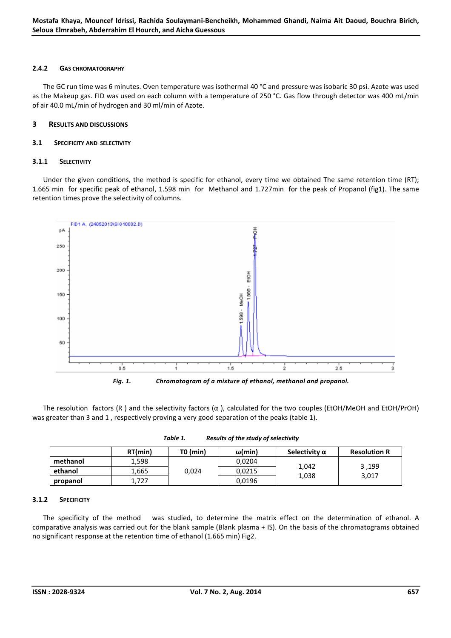## **2.4.2 GAS CHROMATOGRAPHY**

The GC run time was 6 minutes. Oven temperature was isothermal 40 °C and pressure was isobaric 30 psi. Azote was used as the Makeup gas. FID was used on each column with a temperature of 250 °C. Gas flow through detector was 400 mL/min of air 40.0 mL/min of hydrogen and 30 ml/min of Azote.

## **3 RESULTS AND DISCUSSIONS**

#### **3.1 SPECIFICITY AND SELECTIVITY**

#### **3.1.1 SELECTIVITY**

Under the given conditions, the method is specific for ethanol, every time we obtained The same retention time (RT); 1.665 min for specific peak of ethanol, 1.598 min for Methanol and 1.727min for the peak of Propanol (fig1). The same retention times prove the selectivity of columns.



*Fig. 1. Chromatogram of a mixture of ethanol, methanol and propanol.* 

The resolution factors (R) and the selectivity factors  $(\alpha)$ , calculated for the two couples (EtOH/MeOH and EtOH/PrOH) was greater than 3 and 1 , respectively proving a very good separation of the peaks (table 1).

|          | RT(min) | TO (min) | ω(min) | Selectivity $\alpha$ | <b>Resolution R</b> |
|----------|---------|----------|--------|----------------------|---------------------|
| methanol | 1,598   |          | 0,0204 |                      |                     |
| ethanol  | 1.665   | 0,024    | 0,0215 | 1,042                | 3,199<br>3,017      |
| propanol | 1.727   |          | 0,0196 | 1,038                |                     |

| Table 1. | Results of the study of selectivity |  |
|----------|-------------------------------------|--|
|          |                                     |  |

## **3.1.2 SPECIFICITY**

The specificity of the method was studied, to determine the matrix effect on the determination of ethanol. A comparative analysis was carried out for the blank sample (Blank plasma + IS). On the basis of the chromatograms obtained no significant response at the retention time of ethanol (1.665 min) Fig2.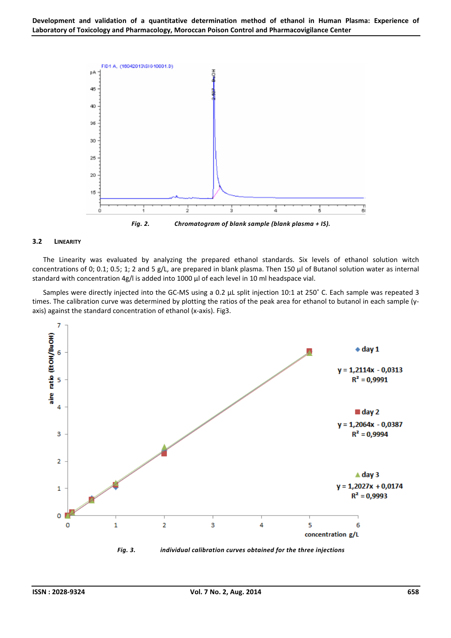

#### **3.2 LINEARITY**

The Linearity was evaluated by analyzing the prepared ethanol standards. Six levels of ethanol solution witch concentrations of 0; 0.1; 0.5; 1; 2 and 5 g/L, are prepared in blank plasma. Then 150 µl of Butanol solution water as internal standard with concentration 4g/l is added into 1000 µl of each level in 10 ml headspace vial.

Samples were directly injected into the GC-MS using a 0.2 μL split injection 10:1 at 250˚ C. Each sample was repeated 3 times. The calibration curve was determined by plotting the ratios of the peak area for ethanol to butanol in each sample (yaxis) against the standard concentration of ethanol (x-axis). Fig3.

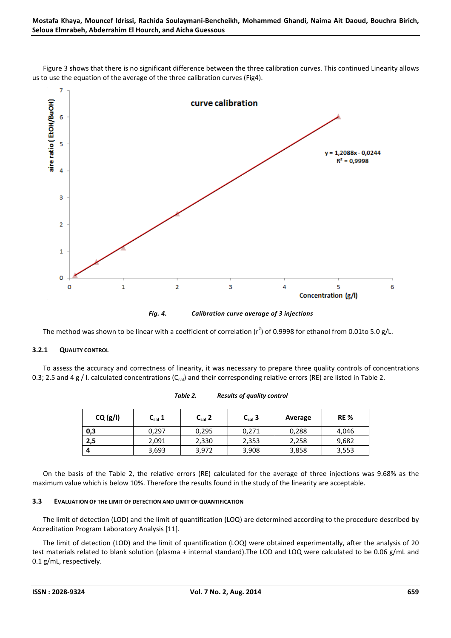

Figure 3 shows that there is no significant difference between the three calibration curves. This continued Linearity allows us to use the equation of the average of the three calibration curves (Fig4).

The method was shown to be linear with a coefficient of correlation ( $r^2$ ) of 0.9998 for ethanol from 0.01to 5.0 g/L.

## **3.2.1 QUALITY CONTROL**

To assess the accuracy and correctness of linearity, it was necessary to prepare three quality controls of concentrations 0.3; 2.5 and 4 g / l. calculated concentrations (C<sub>cal</sub>) and their corresponding relative errors (RE) are listed in Table 2.

| CQ(g/I) | $C_{cal}$ 1 | $C_{cal}$ 2 | $C_{cal}$ 3 | Average | <b>RE%</b> |
|---------|-------------|-------------|-------------|---------|------------|
| 0,3     | 0,297       | 0,295       | 0,271       | 0,288   | 4,046      |
| 2,5     | 2,091       | 2,330       | 2,353       | 2,258   | 9,682      |
|         | 3,693       | 3,972       | 3,908       | 3,858   | 3,553      |

*Table 2. Results of quality control* 

On the basis of the Table 2, the relative errors (RE) calculated for the average of three injections was 9.68% as the maximum value which is below 10%. Therefore the results found in the study of the linearity are acceptable.

## **3.3 EVALUATION OF THE LIMIT OF DETECTION AND LIMIT OF QUANTIFICATION**

The limit of detection (LOD) and the limit of quantification (LOQ) are determined according to the procedure described by Accreditation Program Laboratory Analysis [11].

The limit of detection (LOD) and the limit of quantification (LOQ) were obtained experimentally, after the analysis of 20 test materials related to blank solution (plasma + internal standard).The LOD and LOQ were calculated to be 0.06 g/mL and 0.1 g/mL, respectively.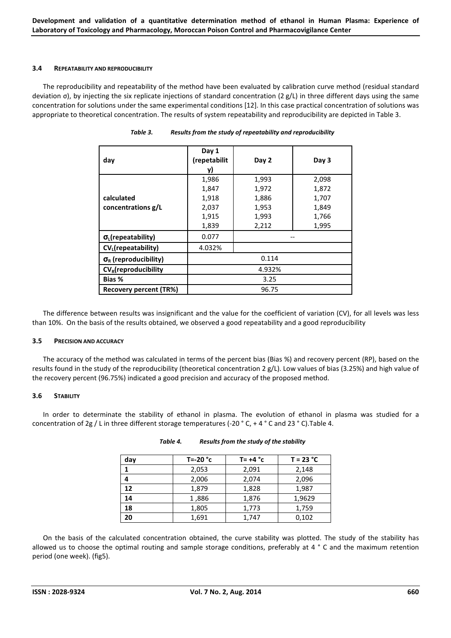#### **3.4 REPEATABILITY AND REPRODUCIBILITY**

The reproducibility and repeatability of the method have been evaluated by calibration curve method (residual standard deviation σ), by injecting the six replicate injections of standard concentration (2 g/L) in three different days using the same concentration for solutions under the same experimental conditions [12]. In this case practical concentration of solutions was appropriate to theoretical concentration. The results of system repeatability and reproducibility are depicted in Table 3.

| day                                | Day 1<br>(repetabilit | Day 2  | Day 3 |
|------------------------------------|-----------------------|--------|-------|
|                                    | y)                    |        |       |
|                                    | 1,986                 | 1,993  | 2,098 |
|                                    | 1,847                 | 1,972  | 1,872 |
| calculated                         | 1,918                 | 1,886  | 1,707 |
| concentrations g/L                 | 2,037                 | 1,953  | 1,849 |
|                                    | 1,915                 | 1,993  | 1,766 |
|                                    | 1,839                 | 2,212  | 1,995 |
| $\sigma_{L}$ (repeatability)       | 0.077                 |        |       |
| CV <sub>L</sub> (repeatability)    | 4.032%                |        |       |
| $\sigma_{\rm R}$ (reproducibility) |                       | 0.114  |       |
| $CV_R$ (reproducibility            |                       | 4.932% |       |
| Bias %                             | 3.25                  |        |       |
| <b>Recovery percent (TR%)</b>      |                       | 96.75  |       |

*Table 3. Results from the study of repeatability and reproducibility* 

The difference between results was insignificant and the value for the coefficient of variation (CV), for all levels was less than 10%. On the basis of the results obtained, we observed a good repeatability and a good reproducibility

## **3.5 PRECISION AND ACCURACY**

The accuracy of the method was calculated in terms of the percent bias (Bias %) and recovery percent (RP), based on the results found in the study of the reproducibility (theoretical concentration 2 g/L). Low values of bias (3.25%) and high value of the recovery percent (96.75%) indicated a good precision and accuracy of the proposed method.

## **3.6 STABILITY**

In order to determinate the stability of ethanol in plasma. The evolution of ethanol in plasma was studied for a concentration of 2g / L in three different storage temperatures (-20 ° C, + 4 ° C and 23 ° C).Table 4.

| day | T=-20 $^{\circ}$ c | $T = +4 °c$ | $T = 23 °C$ |
|-----|--------------------|-------------|-------------|
| 1   | 2,053              | 2,091       | 2,148       |
| 4   | 2,006              | 2,074       | 2,096       |
| 12  | 1,879              | 1,828       | 1,987       |
| 14  | 1,886              | 1,876       | 1,9629      |
| 18  | 1,805              | 1,773       | 1,759       |
| 20  | 1,691              | 1,747       | 0,102       |

| Table 4. | Results from the study of the stability |
|----------|-----------------------------------------|
|          |                                         |

On the basis of the calculated concentration obtained, the curve stability was plotted. The study of the stability has allowed us to choose the optimal routing and sample storage conditions, preferably at 4 ° C and the maximum retention period (one week). (fig5).